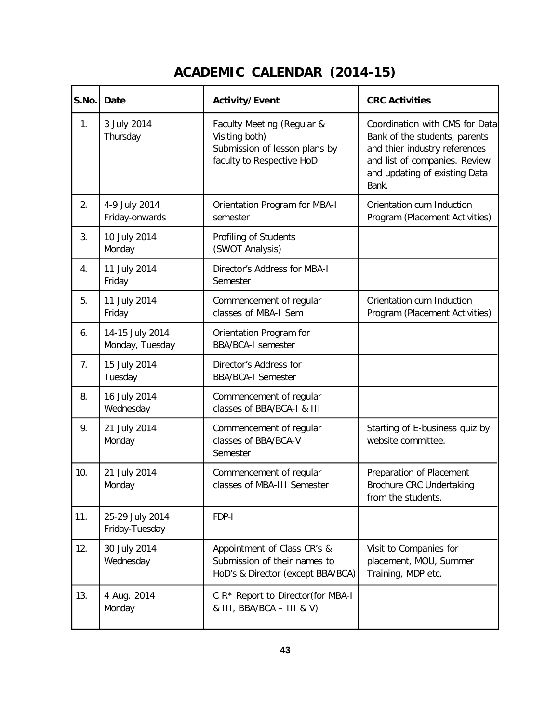## **ACADEMIC CALENDAR (2014-15)**

| S.No. | <b>Date</b>                        | Activity/Event                                                                                             | <b>CRC Activities</b>                                                                                                                                                       |
|-------|------------------------------------|------------------------------------------------------------------------------------------------------------|-----------------------------------------------------------------------------------------------------------------------------------------------------------------------------|
| 1.    | 3 July 2014<br>Thursday            | Faculty Meeting (Regular &<br>Visiting both)<br>Submission of lesson plans by<br>faculty to Respective HoD | Coordination with CMS for Data<br>Bank of the students, parents<br>and thier industry references<br>and list of companies. Review<br>and updating of existing Data<br>Bank. |
| 2.    | 4-9 July 2014<br>Friday-onwards    | Orientation Program for MBA-I<br>semester                                                                  | Orientation cum Induction<br>Program (Placement Activities)                                                                                                                 |
| 3.    | 10 July 2014<br>Monday             | Profiling of Students<br>(SWOT Analysis)                                                                   |                                                                                                                                                                             |
| 4.    | 11 July 2014<br>Friday             | Director's Address for MBA-I<br>Semester                                                                   |                                                                                                                                                                             |
| 5.    | 11 July 2014<br>Friday             | Commencement of regular<br>classes of MBA-I Sem                                                            | Orientation cum Induction<br>Program (Placement Activities)                                                                                                                 |
| 6.    | 14-15 July 2014<br>Monday, Tuesday | Orientation Program for<br><b>BBA/BCA-I semester</b>                                                       |                                                                                                                                                                             |
| 7.    | 15 July 2014<br>Tuesday            | Director's Address for<br><b>BBA/BCA-I Semester</b>                                                        |                                                                                                                                                                             |
| 8.    | 16 July 2014<br>Wednesday          | Commencement of regular<br>classes of BBA/BCA-I & III                                                      |                                                                                                                                                                             |
| 9.    | 21 July 2014<br>Monday             | Commencement of regular<br>classes of BBA/BCA-V<br>Semester                                                | Starting of E-business quiz by<br>website committee.                                                                                                                        |
| 10.   | 21 July 2014<br>Monday             | Commencement of regular<br>classes of MBA-III Semester                                                     | Preparation of Placement<br>Brochure CRC Undertaking<br>from the students.                                                                                                  |
| 11.   | 25-29 July 2014<br>Friday-Tuesday  | FDP-I                                                                                                      |                                                                                                                                                                             |
| 12.   | 30 July 2014<br>Wednesday          | Appointment of Class CR's &<br>Submission of their names to<br>HoD's & Director (except BBA/BCA)           | Visit to Companies for<br>placement, MOU, Summer<br>Training, MDP etc.                                                                                                      |
| 13.   | 4 Aug. 2014<br>Monday              | C R* Report to Director(for MBA-I<br>& III, BBA/BCA - III & V)                                             |                                                                                                                                                                             |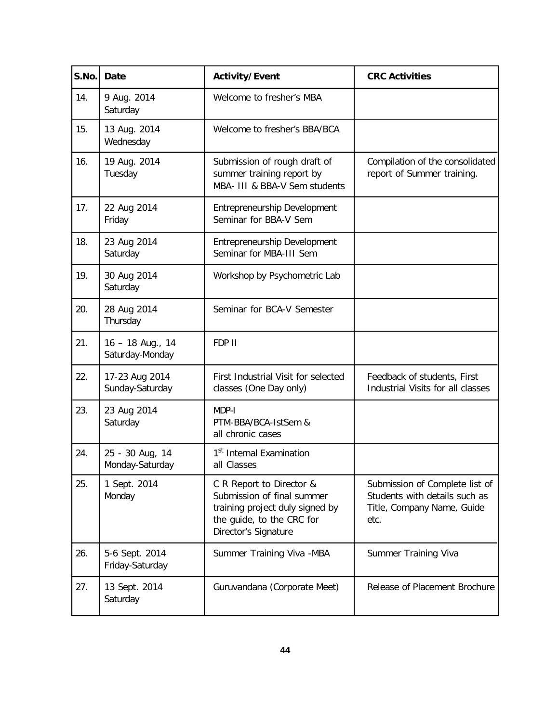| S.No. | Date                                | <b>Activity/Event</b>                                                                                                                          | <b>CRC Activities</b>                                                                                 |
|-------|-------------------------------------|------------------------------------------------------------------------------------------------------------------------------------------------|-------------------------------------------------------------------------------------------------------|
| 14.   | 9 Aug. 2014<br>Saturday             | Welcome to fresher's MBA                                                                                                                       |                                                                                                       |
| 15.   | 13 Aug. 2014<br>Wednesday           | Welcome to fresher's BBA/BCA                                                                                                                   |                                                                                                       |
| 16.   | 19 Aug. 2014<br>Tuesday             | Submission of rough draft of<br>summer training report by<br>MBA- III & BBA-V Sem students                                                     | Compilation of the consolidated<br>report of Summer training.                                         |
| 17.   | 22 Aug 2014<br>Friday               | Entrepreneurship Development<br>Seminar for BBA-V Sem                                                                                          |                                                                                                       |
| 18.   | 23 Aug 2014<br>Saturday             | Entrepreneurship Development<br>Seminar for MBA-III Sem                                                                                        |                                                                                                       |
| 19.   | 30 Aug 2014<br>Saturday             | Workshop by Psychometric Lab                                                                                                                   |                                                                                                       |
| 20.   | 28 Aug 2014<br>Thursday             | Seminar for BCA-V Semester                                                                                                                     |                                                                                                       |
| 21.   | 16 - 18 Aug., 14<br>Saturday-Monday | FDP II                                                                                                                                         |                                                                                                       |
| 22.   | 17-23 Aug 2014<br>Sunday-Saturday   | First Industrial Visit for selected<br>classes (One Day only)                                                                                  | Feedback of students, First<br>Industrial Visits for all classes                                      |
| 23.   | 23 Aug 2014<br>Saturday             | MDP-I<br>PTM-BBA/BCA-1stSem &<br>all chronic cases                                                                                             |                                                                                                       |
| 24.   | 25 - 30 Aug, 14<br>Monday-Saturday  | 1 <sup>st</sup> Internal Examination<br>all Classes                                                                                            |                                                                                                       |
| 25.   | 1 Sept. 2014<br>Monday              | C R Report to Director &<br>Submission of final summer<br>training project duly signed by<br>the guide, to the CRC for<br>Director's Signature | Submission of Complete list of<br>Students with details such as<br>Title, Company Name, Guide<br>etc. |
| 26.   | 5-6 Sept. 2014<br>Friday-Saturday   | Summer Training Viva - MBA                                                                                                                     | Summer Training Viva                                                                                  |
| 27.   | 13 Sept. 2014<br>Saturday           | Guruvandana (Corporate Meet)                                                                                                                   | Release of Placement Brochure                                                                         |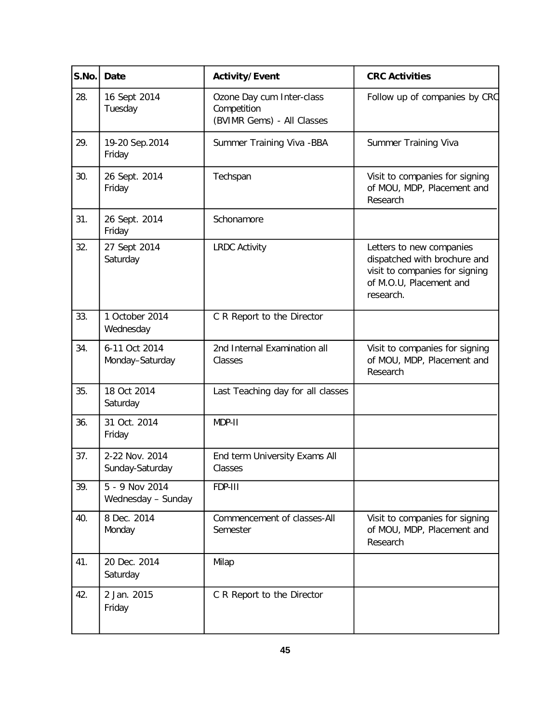| S.No. | Date                                 | <b>Activity/Event</b>                                                  | <b>CRC Activities</b>                                                                                                              |
|-------|--------------------------------------|------------------------------------------------------------------------|------------------------------------------------------------------------------------------------------------------------------------|
| 28.   | 16 Sept 2014<br>Tuesday              | Ozone Day cum Inter-class<br>Competition<br>(BVIMR Gems) - All Classes | Follow up of companies by CRC                                                                                                      |
| 29.   | 19-20 Sep.2014<br>Friday             | Summer Training Viva - BBA                                             | Summer Training Viva                                                                                                               |
| 30.   | 26 Sept. 2014<br>Friday              | Techspan                                                               | Visit to companies for signing<br>of MOU, MDP, Placement and<br>Research                                                           |
| 31.   | 26 Sept. 2014<br>Friday              | Schonamore                                                             |                                                                                                                                    |
| 32.   | 27 Sept 2014<br>Saturday             | <b>LRDC Activity</b>                                                   | Letters to new companies<br>dispatched with brochure and<br>visit to companies for signing<br>of M.O.U, Placement and<br>research. |
| 33.   | 1 October 2014<br>Wednesday          | C R Report to the Director                                             |                                                                                                                                    |
| 34.   | 6-11 Oct 2014<br>Monday-Saturday     | 2nd Internal Examination all<br>Classes                                | Visit to companies for signing<br>of MOU, MDP, Placement and<br>Research                                                           |
| 35.   | 18 Oct 2014<br>Saturday              | Last Teaching day for all classes                                      |                                                                                                                                    |
| 36.   | 31 Oct. 2014<br>Friday               | MDP-II                                                                 |                                                                                                                                    |
| 37.   | 2-22 Nov. 2014<br>Sunday-Saturday    | End term University Exams All<br>Classes                               |                                                                                                                                    |
| 39.   | 5 - 9 Nov 2014<br>Wednesday - Sunday | FDP-III                                                                |                                                                                                                                    |
| 40.   | 8 Dec. 2014<br>Monday                | Commencement of classes-All<br>Semester                                | Visit to companies for signing<br>of MOU, MDP, Placement and<br>Research                                                           |
| 41.   | 20 Dec. 2014<br>Saturday             | Milap                                                                  |                                                                                                                                    |
| 42.   | 2 Jan. 2015<br>Friday                | C R Report to the Director                                             |                                                                                                                                    |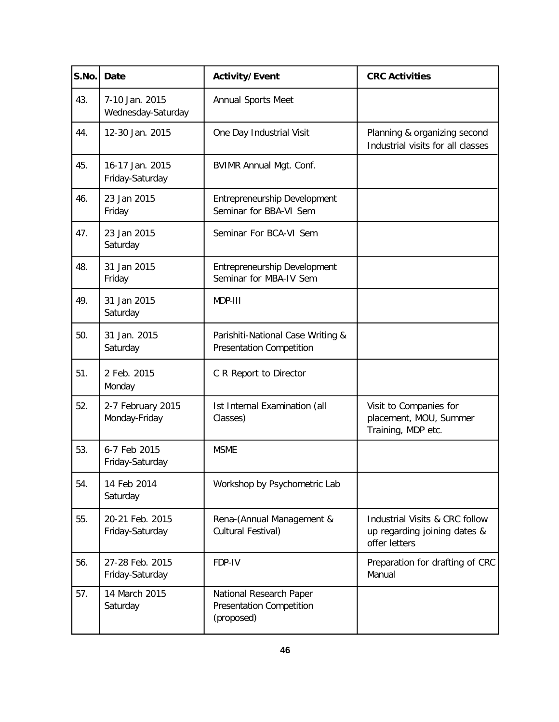| S.No. | Date                                 | <b>Activity/Event</b>                                                    | <b>CRC Activities</b>                                                           |
|-------|--------------------------------------|--------------------------------------------------------------------------|---------------------------------------------------------------------------------|
| 43.   | 7-10 Jan. 2015<br>Wednesday-Saturday | Annual Sports Meet                                                       |                                                                                 |
| 44.   | 12-30 Jan. 2015                      | One Day Industrial Visit                                                 | Planning & organizing second<br>Industrial visits for all classes               |
| 45.   | 16-17 Jan. 2015<br>Friday-Saturday   | <b>BVIMR Annual Mgt. Conf.</b>                                           |                                                                                 |
| 46.   | 23 Jan 2015<br>Friday                | Entrepreneurship Development<br>Seminar for BBA-VI Sem                   |                                                                                 |
| 47.   | 23 Jan 2015<br>Saturday              | Seminar For BCA-VI Sem                                                   |                                                                                 |
| 48.   | 31 Jan 2015<br>Friday                | Entrepreneurship Development<br>Seminar for MBA-IV Sem                   |                                                                                 |
| 49.   | 31 Jan 2015<br>Saturday              | MDP-III                                                                  |                                                                                 |
| 50.   | 31 Jan. 2015<br>Saturday             | Parishiti-National Case Writing &<br><b>Presentation Competition</b>     |                                                                                 |
| 51.   | 2 Feb. 2015<br>Monday                | C R Report to Director                                                   |                                                                                 |
| 52.   | 2-7 February 2015<br>Monday-Friday   | Ist Internal Examination (all<br>Classes)                                | Visit to Companies for<br>placement, MOU, Summer<br>Training, MDP etc.          |
| 53.   | 6-7 Feb 2015<br>Friday-Saturday      | <b>MSME</b>                                                              |                                                                                 |
| 54.   | 14 Feb 2014<br>Saturday              | Workshop by Psychometric Lab                                             |                                                                                 |
| 55.   | 20-21 Feb. 2015<br>Friday-Saturday   | Rena-(Annual Management &<br>Cultural Festival)                          | Industrial Visits & CRC follow<br>up regarding joining dates &<br>offer letters |
| 56.   | 27-28 Feb. 2015<br>Friday-Saturday   | FDP-IV                                                                   | Preparation for drafting of CRC<br>Manual                                       |
| 57.   | 14 March 2015<br>Saturday            | National Research Paper<br><b>Presentation Competition</b><br>(proposed) |                                                                                 |